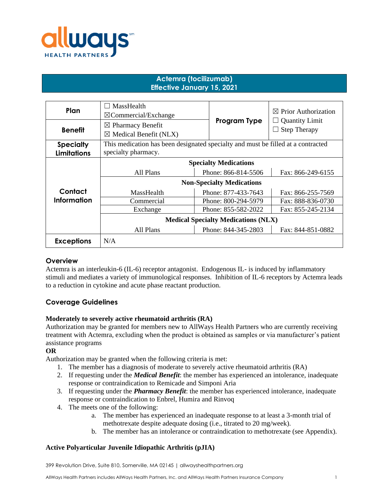

# **Actemra (tocilizumab) Effective January 15, 2021**

| Plan                                   | MassHealth<br>$\boxtimes$ Commercial/Exchange                                                           |                     | $\boxtimes$ Prior Authorization                   |
|----------------------------------------|---------------------------------------------------------------------------------------------------------|---------------------|---------------------------------------------------|
| <b>Benefit</b>                         | $\boxtimes$ Pharmacy Benefit<br>$\boxtimes$ Medical Benefit (NLX)                                       | Program Type        | <b>Quantity Limit</b><br><b>Step Therapy</b><br>⊔ |
| <b>Specialty</b><br><b>Limitations</b> | This medication has been designated specialty and must be filled at a contracted<br>specialty pharmacy. |                     |                                                   |
|                                        | <b>Specialty Medications</b>                                                                            |                     |                                                   |
|                                        | All Plans                                                                                               | Phone: 866-814-5506 | Fax: 866-249-6155                                 |
|                                        | <b>Non-Specialty Medications</b>                                                                        |                     |                                                   |
| Contact                                | MassHealth                                                                                              | Phone: 877-433-7643 | Fax: 866-255-7569                                 |
| Information                            | Commercial                                                                                              | Phone: 800-294-5979 | Fax: 888-836-0730                                 |
|                                        | Exchange                                                                                                | Phone: 855-582-2022 | Fax: 855-245-2134                                 |
|                                        | <b>Medical Specialty Medications (NLX)</b>                                                              |                     |                                                   |
|                                        | All Plans                                                                                               | Phone: 844-345-2803 | Fax: 844-851-0882                                 |
| <b>Exceptions</b>                      | N/A                                                                                                     |                     |                                                   |

#### **Overview**

Actemra is an interleukin-6 (IL-6) receptor antagonist. Endogenous IL- is induced by inflammatory stimuli and mediates a variety of immunological responses. Inhibition of IL-6 receptors by Actemra leads to a reduction in cytokine and acute phase reactant production.

## **Coverage Guidelines**

#### **Moderately to severely active rheumatoid arthritis (RA)**

Authorization may be granted for members new to AllWays Health Partners who are currently receiving treatment with Actemra, excluding when the product is obtained as samples or via manufacturer's patient assistance programs

#### **OR**

Authorization may be granted when the following criteria is met:

- 1. The member has a diagnosis of moderate to severely active rheumatoid arthritis (RA)
- 2. If requesting under the *Medical Benefit*: the member has experienced an intolerance, inadequate response or contraindication to Remicade and Simponi Aria
- 3. If requesting under the *Pharmacy Benefit*: the member has experienced intolerance, inadequate response or contraindication to Enbrel, Humira and Rinvoq
- 4. The meets one of the following:
	- a. The member has experienced an inadequate response to at least a 3-month trial of methotrexate despite adequate dosing (i.e., titrated to 20 mg/week).
	- b. The member has an intolerance or contraindication to methotrexate (see Appendix).

#### **Active Polyarticular Juvenile Idiopathic Arthritis (pJIA)**

399 Revolution Drive, Suite 810, Somerville, MA 02145 | allwayshealthpartners.org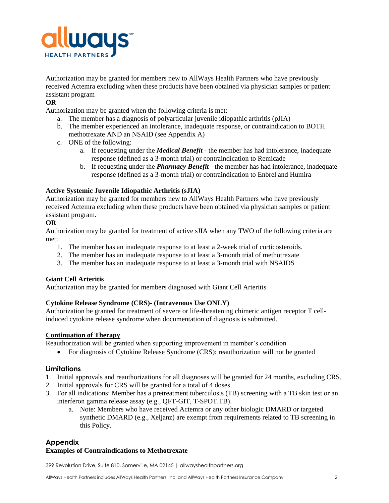

Authorization may be granted for members new to AllWays Health Partners who have previously received Actemra excluding when these products have been obtained via physician samples or patient assistant program

### **OR**

Authorization may be granted when the following criteria is met:

- a. The member has a diagnosis of polyarticular juvenile idiopathic arthritis (pJIA)
- b. The member experienced an intolerance, inadequate response, or contraindication to BOTH methotrexate AND an NSAID (see Appendix A)
- c. ONE of the following:
	- a. If requesting under the *Medical Benefit* the member has had intolerance, inadequate response (defined as a 3-month trial) or contraindication to Remicade
	- b. If requesting under the *Pharmacy Benefit -* the member has had intolerance, inadequate response (defined as a 3-month trial) or contraindication to Enbrel and Humira

#### **Active Systemic Juvenile Idiopathic Arthritis (sJIA)**

Authorization may be granted for members new to AllWays Health Partners who have previously received Actemra excluding when these products have been obtained via physician samples or patient assistant program.

#### **OR**

Authorization may be granted for treatment of active sJIA when any TWO of the following criteria are met:

- 1. The member has an inadequate response to at least a 2-week trial of corticosteroids.
- 2. The member has an inadequate response to at least a 3-month trial of methotrexate
- 3. The member has an inadequate response to at least a 3-month trial with NSAIDS

#### **Giant Cell Arteritis**

Authorization may be granted for members diagnosed with Giant Cell Arteritis

#### **Cytokine Release Syndrome (CRS)- (Intravenous Use ONLY)**

Authorization be granted for treatment of severe or life-threatening chimeric antigen receptor T cellinduced cytokine release syndrome when documentation of diagnosis is submitted.

#### **Continuation of Therapy**

Reauthorization will be granted when supporting improvement in member's condition

• For diagnosis of Cytokine Release Syndrome (CRS): reauthorization will not be granted

#### **Limitations**

- 1. Initial approvals and reauthorizations for all diagnoses will be granted for 24 months, excluding CRS.
- 2. Initial approvals for CRS will be granted for a total of 4 doses.
- 3. For all indications: Member has a pretreatment tuberculosis (TB) screening with a TB skin test or an interferon gamma release assay (e.g., QFT-GIT, T-SPOT.TB).
	- a. Note: Members who have received Actemra or any other biologic DMARD or targeted synthetic DMARD (e.g., Xeljanz) are exempt from requirements related to TB screening in this Policy.

#### **Appendix**

#### **Examples of Contraindications to Methotrexate**

399 Revolution Drive, Suite 810, Somerville, MA 02145 | allwayshealthpartners.org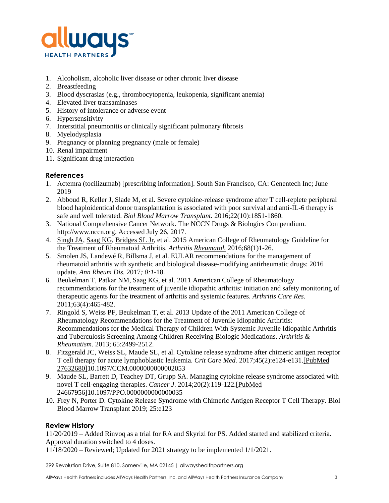

- 1. Alcoholism, alcoholic liver disease or other chronic liver disease
- 2. Breastfeeding
- 3. Blood dyscrasias (e.g., thrombocytopenia, leukopenia, significant anemia)
- 4. Elevated liver transaminases
- 5. History of intolerance or adverse event
- 6. Hypersensitivity
- 7. Interstitial pneumonitis or clinically significant pulmonary fibrosis
- 8. Myelodysplasia
- 9. Pregnancy or planning pregnancy (male or female)
- 10. Renal impairment
- 11. Significant drug interaction

## **References**

- 1. Actemra (tocilizumab) [prescribing information]. South San Francisco, CA: Genentech Inc; June 2019
- 2. Abboud R, Keller J, Slade M, et al. Severe cytokine-release syndrome after T cell-replete peripheral blood haploidentical donor transplantation is associated with poor survival and anti-IL-6 therapy is safe and well tolerated. *Biol Blood Marrow Transplant.* 2016;22(10):1851-1860.
- 3. National Comprehensive Cancer Network. The NCCN Drugs & Biologics Compendium. http://www.nccn.org. Accessed July 26, 2017.
- 4. [Singh JA,](http://www.ncbi.nlm.nih.gov/pubmed/?term=Singh%20JA%5BAuthor%5D&cauthor=true&cauthor_uid=26545940) [Saag KG,](http://www.ncbi.nlm.nih.gov/pubmed/?term=Saag%20KG%5BAuthor%5D&cauthor=true&cauthor_uid=26545940) [Bridges SL Jr,](http://www.ncbi.nlm.nih.gov/pubmed/?term=Bridges%20SL%20Jr%5BAuthor%5D&cauthor=true&cauthor_uid=26545940) et al. 2015 American College of Rheumatology Guideline for the Treatment of Rheumatoid Arthritis. *Arthritis [Rheumatol.](http://www.ncbi.nlm.nih.gov/pubmed/26545940)* 2016;68(1)1-26.
- 5. Smolen JS, Landewé R, Billsma J, et al. EULAR recommendations for the management of rheumatoid arthritis with synthetic and biological disease-modifying antirheumatic drugs: 2016 update. *Ann Rheum Dis.* 2017*; 0:1*-18.
- 6. Beukelman T, Patkar NM, Saag KG, et al. 2011 American College of Rheumatology recommendations for the treatment of juvenile idiopathic arthritis: initiation and safety monitoring of therapeutic agents for the treatment of arthritis and systemic features. *Arthritis Care Res*. 2011;63(4):465-482.
- 7. Ringold S, Weiss PF, Beukelman T, et al. 2013 Update of the 2011 American College of Rheumatology Recommendations for the Treatment of Juvenile Idiopathic Arthritis: Recommendations for the Medical Therapy of Children With Systemic Juvenile Idiopathic Arthritis and Tuberculosis Screening Among Children Receiving Biologic Medications. *Arthritis & Rheumatism.* 2013; 65:2499-2512.
- 8. Fitzgerald JC, Weiss SL, Maude SL, et al. Cytokine release syndrome after chimeric antigen receptor T cell therapy for acute lymphoblastic leukemia. *Crit Care Med.* 2017;45(2):e124-e131[.\[PubMed](https://www.ncbi.nlm.nih.gov/entrez/query.fcgi?cmd=Retrieve&db=pubmed&dopt=Abstract&list_uids=27632680)  [27632680\]1](https://www.ncbi.nlm.nih.gov/entrez/query.fcgi?cmd=Retrieve&db=pubmed&dopt=Abstract&list_uids=27632680)0.1097/CCM.0000000000002053
- 9. Maude SL, Barrett D, Teachey DT, Grupp SA. Managing cytokine release syndrome associated with novel T cell-engaging therapies. *Cancer J*. 2014;20(2):119-122[.\[PubMed](https://www.ncbi.nlm.nih.gov/entrez/query.fcgi?cmd=Retrieve&db=pubmed&dopt=Abstract&list_uids=24667956)  [24667956\]1](https://www.ncbi.nlm.nih.gov/entrez/query.fcgi?cmd=Retrieve&db=pubmed&dopt=Abstract&list_uids=24667956)0.1097/PPO.0000000000000035
- 10. [Frey N, Porter D. Cytokine Release Syndrome with Chimeric Antigen Receptor T Cell Therapy. Biol](https://www.uptodate.com/contents/cytokine-release-syndrome-crs/abstract/2)  [Blood Marrow Transplant 2019; 25:e123](https://www.uptodate.com/contents/cytokine-release-syndrome-crs/abstract/2)

## **Review History**

11/20/2019 – Added Rinvoq as a trial for RA and Skyrizi for PS. Added started and stabilized criteria. Approval duration switched to 4 doses.

11/18/2020 – Reviewed; Updated for 2021 strategy to be implemented 1/1/2021.

399 Revolution Drive, Suite 810, Somerville, MA 02145 | allwayshealthpartners.org